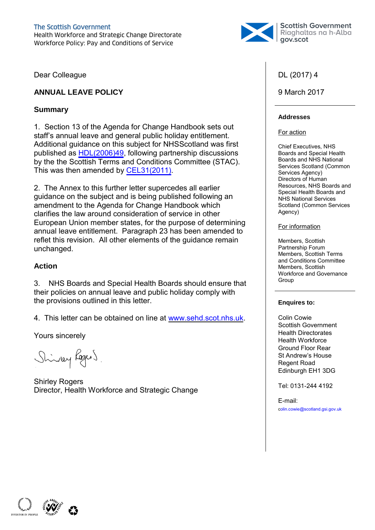

Dear Colleague

## **ANNUAL LEAVE POLICY**

## **Summary**

1. Section 13 of the Agenda for Change Handbook sets out staff's annual leave and general public holiday entitlement. Additional guidance on this subject for NHSScotland was first published as [HDL\(2006\)49,](http://www.scot.nhs.uk//sehd/mels/HDL2006_49.pdf) following partnership discussions by the the Scottish Terms and Conditions Committee (STAC). This was then amended by [CEL31\(2011\)](http://www.sehd.scot.nhs.uk/mels/CEL2011_31.pdf).

2. The Annex to this further letter supercedes all earlier guidance on the subject and is being published following an amendment to the Agenda for Change Handbook which clarifies the law around consideration of service in other European Union member states, for the purpose of determining annual leave entitlement. Paragraph 23 has been amended to reflet this revision. All other elements of the guidance remain unchanged.

## **Action**

3. NHS Boards and Special Health Boards should ensure that their policies on annual leave and public holiday comply with the provisions outlined in this letter.

4. This letter can be obtained on line at [www.sehd.scot.nhs.uk.](http://www.sehd.scot.nhs.uk/)

Yours sincerely

Shiney Regens.

Shirley Rogers Director, Health Workforce and Strategic Change

## DL (2017) 4

## 9 March 2017

#### **Addresses**

#### For action

Chief Executives, NHS Boards and Special Health Boards and NHS National Services Scotland (Common Services Agency) Directors of Human Resources, NHS Boards and Special Health Boards and NHS National Services Scotland (Common Services Agency)

#### For information

Members, Scottish Partnership Forum Members, Scottish Terms and Conditions Committee Members, Scottish Workforce and Governance Group

#### **Enquires to:**

Colin Cowie Scottish Government Health Directorates Health Workforce Ground Floor Rear St Andrew's House Regent Road Edinburgh EH1 3DG

Tel: 0131-244 4192

E-mail: colin.cowie@scotland.gsi.gov.uk

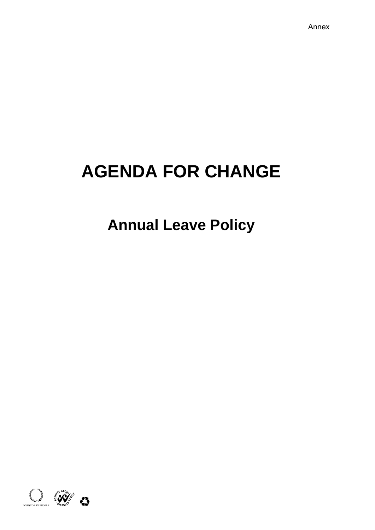# **AGENDA FOR CHANGE**

## **Annual Leave Policy**

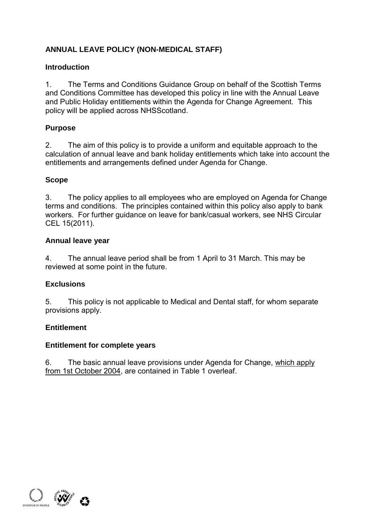## **ANNUAL LEAVE POLICY (NON-MEDICAL STAFF)**

## **Introduction**

1. The Terms and Conditions Guidance Group on behalf of the Scottish Terms and Conditions Committee has developed this policy in line with the Annual Leave and Public Holiday entitlements within the Agenda for Change Agreement. This policy will be applied across NHSScotland.

## **Purpose**

2. The aim of this policy is to provide a uniform and equitable approach to the calculation of annual leave and bank holiday entitlements which take into account the entitlements and arrangements defined under Agenda for Change.

## **Scope**

3. The policy applies to all employees who are employed on Agenda for Change terms and conditions. The principles contained within this policy also apply to bank workers. For further guidance on leave for bank/casual workers, see NHS Circular CEL 15(2011).

## **Annual leave year**

4. The annual leave period shall be from 1 April to 31 March. This may be reviewed at some point in the future.

## **Exclusions**

5. This policy is not applicable to Medical and Dental staff, for whom separate provisions apply.

## **Entitlement**

## **Entitlement for complete years**

6. The basic annual leave provisions under Agenda for Change, which apply from 1st October 2004, are contained in Table 1 overleaf.

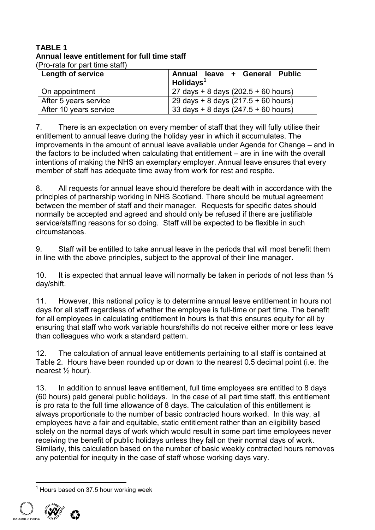#### **TABLE 1 Annual leave entitlement for full time staff**  (Pro-rata for part time staff)

| <b>Length of service</b> | Annual leave + General Public<br>$H$ olidays <sup>1</sup> |
|--------------------------|-----------------------------------------------------------|
| On appointment           | $27 \text{ days} + 8 \text{ days}$ (202.5 + 60 hours)     |
| After 5 years service    | $29 \text{ days} + 8 \text{ days}$ (217.5 + 60 hours)     |
| After 10 years service   | 33 days + 8 days $(247.5 + 60$ hours)                     |

7. There is an expectation on every member of staff that they will fully utilise their entitlement to annual leave during the holiday year in which it accumulates. The improvements in the amount of annual leave available under Agenda for Change – and in the factors to be included when calculating that entitlement – are in line with the overall intentions of making the NHS an exemplary employer. Annual leave ensures that every member of staff has adequate time away from work for rest and respite.

8. All requests for annual leave should therefore be dealt with in accordance with the principles of partnership working in NHS Scotland. There should be mutual agreement between the member of staff and their manager. Requests for specific dates should normally be accepted and agreed and should only be refused if there are justifiable service/staffing reasons for so doing. Staff will be expected to be flexible in such circumstances.

9. Staff will be entitled to take annual leave in the periods that will most benefit them in line with the above principles, subject to the approval of their line manager.

10. It is expected that annual leave will normally be taken in periods of not less than  $\frac{1}{2}$ day/shift.

11. However, this national policy is to determine annual leave entitlement in hours not days for all staff regardless of whether the employee is full-time or part time. The benefit for all employees in calculating entitlement in hours is that this ensures equity for all by ensuring that staff who work variable hours/shifts do not receive either more or less leave than colleagues who work a standard pattern.

12. The calculation of annual leave entitlements pertaining to all staff is contained at Table 2. Hours have been rounded up or down to the nearest 0.5 decimal point (i.e. the nearest ½ hour).

13. In addition to annual leave entitlement, full time employees are entitled to 8 days (60 hours) paid general public holidays. In the case of all part time staff, this entitlement is pro rata to the full time allowance of 8 days. The calculation of this entitlement is always proportionate to the number of basic contracted hours worked. In this way, all employees have a fair and equitable, static entitlement rather than an eligibility based solely on the normal days of work which would result in some part time employees never receiving the benefit of public holidays unless they fall on their normal days of work. Similarly, this calculation based on the number of basic weekly contracted hours removes any potential for inequity in the case of staff whose working days vary.

 $\overline{\phantom{a}}$  $1$  Hours based on 37.5 hour working week

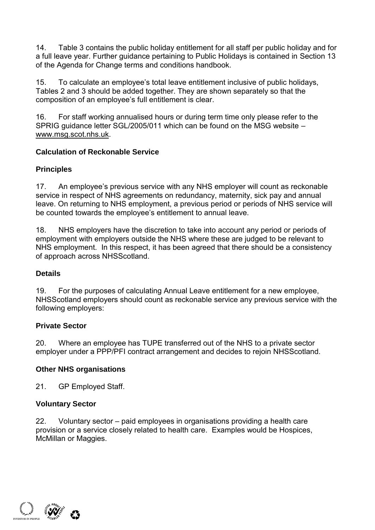14. Table 3 contains the public holiday entitlement for all staff per public holiday and for a full leave year. Further guidance pertaining to Public Holidays is contained in Section 13 of the Agenda for Change terms and conditions handbook.

15. To calculate an employee's total leave entitlement inclusive of public holidays, Tables 2 and 3 should be added together. They are shown separately so that the composition of an employee's full entitlement is clear.

16. For staff working annualised hours or during term time only please refer to the SPRIG guidance letter SGL/2005/011 which can be found on the MSG website – www.msg.scot.nhs.uk.

## **Calculation of Reckonable Service**

## **Principles**

17. An employee's previous service with any NHS employer will count as reckonable service in respect of NHS agreements on redundancy, maternity, sick pay and annual leave. On returning to NHS employment, a previous period or periods of NHS service will be counted towards the employee's entitlement to annual leave.

18. NHS employers have the discretion to take into account any period or periods of employment with employers outside the NHS where these are judged to be relevant to NHS employment. In this respect, it has been agreed that there should be a consistency of approach across NHSScotland.

## **Details**

19. For the purposes of calculating Annual Leave entitlement for a new employee, NHSScotland employers should count as reckonable service any previous service with the following employers:

## **Private Sector**

20. Where an employee has TUPE transferred out of the NHS to a private sector employer under a PPP/PFI contract arrangement and decides to rejoin NHSScotland.

## **Other NHS organisations**

21. GP Employed Staff.

## **Voluntary Sector**

22. Voluntary sector – paid employees in organisations providing a health care provision or a service closely related to health care. Examples would be Hospices, McMillan or Maggies.

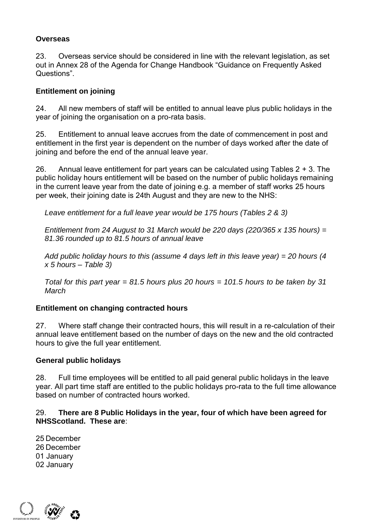## **Overseas**

23. Overseas service should be considered in line with the relevant legislation, as set out in Annex 28 of the Agenda for Change Handbook "Guidance on Frequently Asked Questions".

## **Entitlement on joining**

24. All new members of staff will be entitled to annual leave plus public holidays in the year of joining the organisation on a pro-rata basis.

25. Entitlement to annual leave accrues from the date of commencement in post and entitlement in the first year is dependent on the number of days worked after the date of joining and before the end of the annual leave year.

26. Annual leave entitlement for part years can be calculated using Tables 2 + 3. The public holiday hours entitlement will be based on the number of public holidays remaining in the current leave year from the date of joining e.g. a member of staff works 25 hours per week, their joining date is 24th August and they are new to the NHS:

*Leave entitlement for a full leave year would be 175 hours (Tables 2 & 3)* 

*Entitlement from 24 August to 31 March would be 220 days (220/365 x 135 hours) = 81.36 rounded up to 81.5 hours of annual leave* 

*Add public holiday hours to this (assume 4 days left in this leave year) = 20 hours (4 x 5 hours – Table 3)* 

*Total for this part year = 81.5 hours plus 20 hours = 101.5 hours to be taken by 31 March* 

## **Entitlement on changing contracted hours**

27. Where staff change their contracted hours, this will result in a re-calculation of their annual leave entitlement based on the number of days on the new and the old contracted hours to give the full year entitlement.

## **General public holidays**

28. Full time employees will be entitled to all paid general public holidays in the leave year. All part time staff are entitled to the public holidays pro-rata to the full time allowance based on number of contracted hours worked.

## 29. **There are 8 Public Holidays in the year, four of which have been agreed for NHSScotland. These are**:

25 December 26 December 01 January 02 January

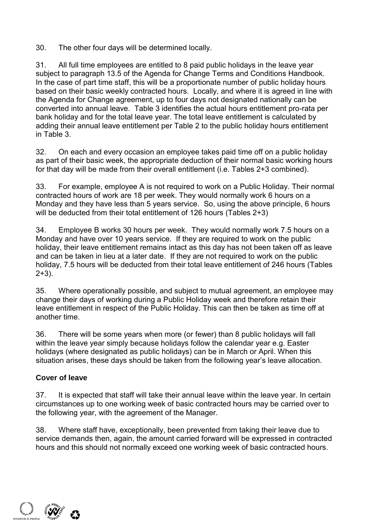30. The other four days will be determined locally.

31. All full time employees are entitled to 8 paid public holidays in the leave year subject to paragraph 13.5 of the Agenda for Change Terms and Conditions Handbook. In the case of part time staff, this will be a proportionate number of public holiday hours based on their basic weekly contracted hours. Locally, and where it is agreed in line with the Agenda for Change agreement, up to four days not designated nationally can be converted into annual leave. Table 3 identifies the actual hours entitlement pro-rata per bank holiday and for the total leave year. The total leave entitlement is calculated by adding their annual leave entitlement per Table 2 to the public holiday hours entitlement in Table 3.

32. On each and every occasion an employee takes paid time off on a public holiday as part of their basic week, the appropriate deduction of their normal basic working hours for that day will be made from their overall entitlement (i.e. Tables 2+3 combined).

33. For example, employee A is not required to work on a Public Holiday. Their normal contracted hours of work are 18 per week. They would normally work 6 hours on a Monday and they have less than 5 years service. So, using the above principle, 6 hours will be deducted from their total entitlement of 126 hours (Tables 2+3)

34. Employee B works 30 hours per week. They would normally work 7.5 hours on a Monday and have over 10 years service. If they are required to work on the public holiday, their leave entitlement remains intact as this day has not been taken off as leave and can be taken in lieu at a later date. If they are not required to work on the public holiday, 7.5 hours will be deducted from their total leave entitlement of 246 hours (Tables  $2+3$ ).

35. Where operationally possible, and subject to mutual agreement, an employee may change their days of working during a Public Holiday week and therefore retain their leave entitlement in respect of the Public Holiday. This can then be taken as time off at another time.

36. There will be some years when more (or fewer) than 8 public holidays will fall within the leave year simply because holidays follow the calendar year e.g. Easter holidays (where designated as public holidays) can be in March or April. When this situation arises, these days should be taken from the following year's leave allocation.

## **Cover of leave**

37. It is expected that staff will take their annual leave within the leave year. In certain circumstances up to one working week of basic contracted hours may be carried over to the following year, with the agreement of the Manager.

38. Where staff have, exceptionally, been prevented from taking their leave due to service demands then, again, the amount carried forward will be expressed in contracted hours and this should not normally exceed one working week of basic contracted hours.

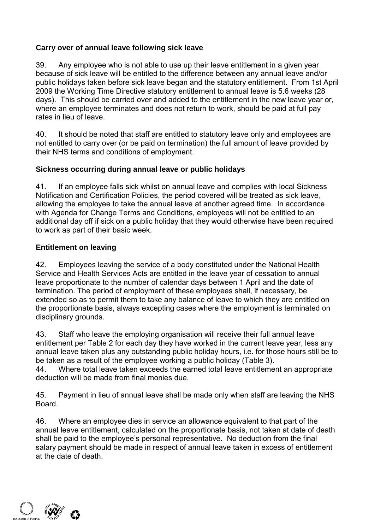## **Carry over of annual leave following sick leave**

39. Any employee who is not able to use up their leave entitlement in a given year because of sick leave will be entitled to the difference between any annual leave and/or public holidays taken before sick leave began and the statutory entitlement. From 1st April 2009 the Working Time Directive statutory entitlement to annual leave is 5.6 weeks (28 days). This should be carried over and added to the entitlement in the new leave year or, where an employee terminates and does not return to work, should be paid at full pay rates in lieu of leave.

40. It should be noted that staff are entitled to statutory leave only and employees are not entitled to carry over (or be paid on termination) the full amount of leave provided by their NHS terms and conditions of employment.

## **Sickness occurring during annual leave or public holidays**

41. If an employee falls sick whilst on annual leave and complies with local Sickness Notification and Certification Policies, the period covered will be treated as sick leave, allowing the employee to take the annual leave at another agreed time. In accordance with Agenda for Change Terms and Conditions, employees will not be entitled to an additional day off if sick on a public holiday that they would otherwise have been required to work as part of their basic week.

## **Entitlement on leaving**

42. Employees leaving the service of a body constituted under the National Health Service and Health Services Acts are entitled in the leave year of cessation to annual leave proportionate to the number of calendar days between 1 April and the date of termination. The period of employment of these employees shall, if necessary, be extended so as to permit them to take any balance of leave to which they are entitled on the proportionate basis, always excepting cases where the employment is terminated on disciplinary grounds.

43. Staff who leave the employing organisation will receive their full annual leave entitlement per Table 2 for each day they have worked in the current leave year, less any annual leave taken plus any outstanding public holiday hours, i.e. for those hours still be to be taken as a result of the employee working a public holiday (Table 3).

44. Where total leave taken exceeds the earned total leave entitlement an appropriate deduction will be made from final monies due.

45. Payment in lieu of annual leave shall be made only when staff are leaving the NHS **Board** 

46. Where an employee dies in service an allowance equivalent to that part of the annual leave entitlement, calculated on the proportionate basis, not taken at date of death shall be paid to the employee's personal representative. No deduction from the final salary payment should be made in respect of annual leave taken in excess of entitlement at the date of death.

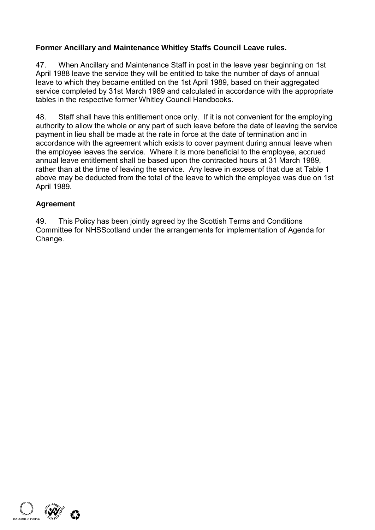## **Former Ancillary and Maintenance Whitley Staffs Council Leave rules.**

47. When Ancillary and Maintenance Staff in post in the leave year beginning on 1st April 1988 leave the service they will be entitled to take the number of days of annual leave to which they became entitled on the 1st April 1989, based on their aggregated service completed by 31st March 1989 and calculated in accordance with the appropriate tables in the respective former Whitley Council Handbooks.

48. Staff shall have this entitlement once only. If it is not convenient for the employing authority to allow the whole or any part of such leave before the date of leaving the service payment in lieu shall be made at the rate in force at the date of termination and in accordance with the agreement which exists to cover payment during annual leave when the employee leaves the service. Where it is more beneficial to the employee, accrued annual leave entitlement shall be based upon the contracted hours at 31 March 1989, rather than at the time of leaving the service. Any leave in excess of that due at Table 1 above may be deducted from the total of the leave to which the employee was due on 1st April 1989.

## **Agreement**

49. This Policy has been jointly agreed by the Scottish Terms and Conditions Committee for NHSScotland under the arrangements for implementation of Agenda for Change.

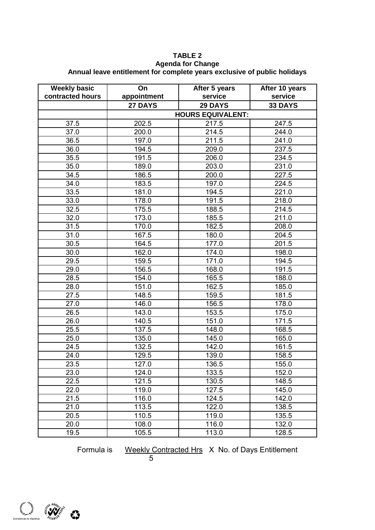#### **TABLE 2**

#### **Agenda for Change Annual leave entitlement for complete years exclusive of public holidays**

| <b>Weekly basic</b> | On          | After 5 years            | After 10 years |
|---------------------|-------------|--------------------------|----------------|
| contracted hours    | appointment | service                  | service        |
|                     | 27 DAYS     | 29 DAYS                  | 33 DAYS        |
|                     |             | <b>HOURS EQUIVALENT:</b> |                |
| 37.5                | 202.5       | 217.5                    | 247.5          |
| 37.0                | 200.0       | 214.5                    | 244.0          |
| 36.5                | 197.0       | 211.5                    | 241.0          |
| 36.0                | 194.5       | 209.0                    | 237.5          |
| 35.5                | 191.5       | 206.0                    | 234.5          |
| 35.0                | 189.0       | 203.0                    | 231.0          |
| 34.5                | 186.5       | 200.0                    | 227.5          |
| 34.0                | 183.5       | 197.0                    | 224.5          |
| 33.5                | 181.0       | 194.5                    | 221.0          |
| 33.0                | 178.0       | 191.5                    | 218.0          |
| 32.5                | 175.5       | 188.5                    | 214.5          |
| 32.0                | 173.0       | 185.5                    | 211.0          |
| 31.5                | 170.0       | 182.5                    | 208.0          |
| 31.0                | 167.5       | 180.0                    | 204.5          |
| 30.5                | 164.5       | 177.0                    | 201.5          |
| 30.0                | 162.0       | 174.0                    | 198.0          |
| 29.5                | 159.5       | 171.0                    | 194.5          |
| 29.0                | 156.5       | 168.0                    | 191.5          |
| 28.5                | 154.0       | 165.5                    | 188.0          |
| 28.0                | 151.0       | 162.5                    | 185.0          |
| 27.5                | 148.5       | 159.5                    | 181.5          |
| 27.0                | 146.0       | 156.5                    | 178.0          |
| 26.5                | 143.0       | 153.5                    | 175.0          |
| 26.0                | 140.5       | 151.0                    | 171.5          |
| 25.5                | 137.5       | 148.0                    | 168.5          |
| 25.0                | 135.0       | 145.0                    | 165.0          |
| 24.5                | 132.5       | 142.0                    | 161.5          |
| 24.0                | 129.5       | 139.0                    | 158.5          |
| 23.5                | 127.0       | 136.5                    | 155.0          |
| 23.0                | 124.0       | 133.5                    | 152.0          |
| 22.5                | 121.5       | 130.5                    | 148.5          |
| 22.0                | 119.0       | 127.5                    | 145.0          |
| 21.5                | 116.0       | 124.5                    | 142.0          |
| 21.0                | 113.5       | 122.0                    | 138.5          |
| 20.5                | 110.5       | 119.0                    | 135.5          |
| 20.0                | 108.0       | 116.0                    | 132.0          |
| 19.5                | 105.5       | 113.0                    | 128.5          |

Formula is Weekly Contracted Hrs X No. of Days Entitlement



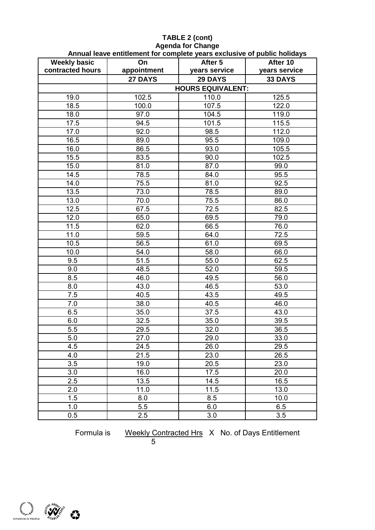|                                         | Annual leave emmement for complete years exclusive or public homegs |                          |                           |
|-----------------------------------------|---------------------------------------------------------------------|--------------------------|---------------------------|
| <b>Weekly basic</b><br>contracted hours | On<br>appointment                                                   | After 5                  | After 10<br>years service |
|                                         | 27 DAYS                                                             | years service            | 33 DAYS                   |
|                                         |                                                                     | 29 DAYS                  |                           |
|                                         |                                                                     | <b>HOURS EQUIVALENT:</b> |                           |
| 19.0                                    | 102.5                                                               | 110.0                    | 125.5                     |
| 18.5                                    | 100.0                                                               | 107.5                    | 122.0                     |
| 18.0                                    | 97.0                                                                | 104.5                    | 119.0                     |
| 17.5                                    | 94.5                                                                | 101.5                    | 115.5                     |
| 17.0                                    | 92.0                                                                | 98.5                     | 112.0                     |
| 16.5                                    | 89.0                                                                | 95.5                     | 109.0                     |
| 16.0                                    | 86.5                                                                | 93.0                     | 105.5                     |
| 15.5                                    | 83.5                                                                | 90.0                     | 102.5                     |
| 15.0                                    | 81.0                                                                | 87.0                     | 99.0                      |
| 14.5                                    | 78.5                                                                | 84.0                     | 95.5                      |
| 14.0                                    | 75.5                                                                | 81.0                     | 92.5                      |
| 13.5                                    | 73.0                                                                | 78.5                     | 89.0                      |
| 13.0                                    | 70.0                                                                | 75.5                     | 86.0                      |
| 12.5                                    | 67.5                                                                | 72.5                     | 82.5                      |
| 12.0                                    | 65.0                                                                | 69.5                     | 79.0                      |
| 11.5                                    | 62.0                                                                | 66.5                     | 76.0                      |
| 11.0                                    | 59.5                                                                | 64.0                     | 72.5                      |
| 10.5                                    | 56.5                                                                | 61.0                     | 69.5                      |
| 10.0                                    | 54.0                                                                | 58.0                     | 66.0                      |
| 9.5                                     | 51.5                                                                | 55.0                     | 62.5                      |
| 9.0                                     | 48.5                                                                | 52.0                     | 59.5                      |
| 8.5                                     | 46.0                                                                | 49.5                     | 56.0                      |
| 8.0                                     | 43.0                                                                | 46.5                     | 53.0                      |
| 7.5                                     | 40.5                                                                | 43.5                     | 49.5                      |
| 7.0                                     | 38.0                                                                | 40.5                     | 46.0                      |
| 6.5                                     | 35.0                                                                | 37.5                     | 43.0                      |
| 6.0                                     | 32.5                                                                | 35.0                     | 39.5                      |
| 5.5                                     | 29.5                                                                | 32.0                     | 36.5                      |
| 5.0                                     | 27.0                                                                | 29.0                     | 33.0                      |
| 4.5                                     | 24.5                                                                | 26.0                     | 29.5                      |
| 4.0                                     | 21.5                                                                | 23.0                     | 26.5                      |
| 3.5                                     | 19.0                                                                | 20.5                     | 23.0                      |
| 3.0                                     | 16.0                                                                | 17.5                     | 20.0                      |
| 2.5                                     | 13.5                                                                | 14.5                     | 16.5                      |
| 2.0                                     | 11.0                                                                | 11.5                     | 13.0                      |
| 1.5                                     | 8.0                                                                 | 8.5                      | 10.0                      |
| 1.0                                     | 5.5                                                                 | 6.0                      | 6.5                       |
| 0.5                                     | 2.5                                                                 | 3.0                      | 3.5                       |
|                                         |                                                                     |                          |                           |

#### **TABLE 2 (cont) Agenda for Change Annual leave entitlement for complete years exclusive of public holidays**

Formula is Weekly Contracted Hrs X No. of Days Entitlement

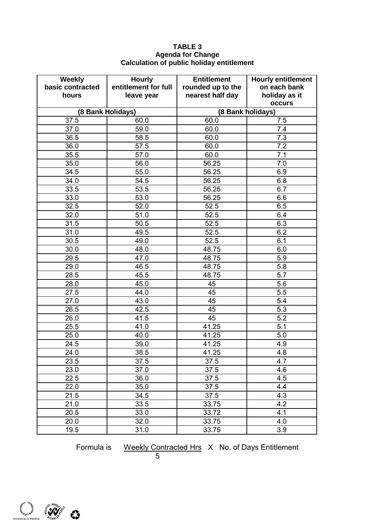#### **TABLE 3 Agenda for Change Calculation of public holiday entitlement**

| <b>Weekly</b>    | <b>Hourly</b>        | <b>Entitlement</b> | <b>Hourly entitlement</b> |
|------------------|----------------------|--------------------|---------------------------|
| basic contracted | entitlement for full | rounded up to the  | on each bank              |
| hours            | leave year           | nearest half day   | holiday as it             |
|                  |                      |                    | occurs                    |
|                  | (8 Bank Holidays)    | (8 Bank holidays)  |                           |
| 37.5             | 60.0                 | 60.0               | 7.5                       |
| 37.0             | 59.0                 | 60.0               | 7.4                       |
| 36.5             | 58.5                 | 60.0               | 7.3                       |
| 36.0             | 57.5                 | 60.0               | 7.2                       |
| 35.5             | 57.0                 | 60.0               | 7.1                       |
| 35.0             | 56.0                 | 56.25              | 7.0                       |
| 34.5             | 55.0                 | 56.25              | 6.9                       |
| 34.0             | 54.5                 | 56.25              | 6.8                       |
| 33.5             | 53.5                 | 56.25              | 6.7                       |
| 33.0             | 53.0                 | 56.25              | 6.6                       |
| 32.5             | 52.0                 | 52.5               | 6.5                       |
| 32.0             | 51.0                 | 52.5               | 6.4                       |
| 31.5             | 50.5                 | 52.5               | 6.3                       |
| 31.0             | 49.5                 | 52.5               | 6.2                       |
| 30.5             | 49.0                 | 52.5               | 6.1                       |
| 30.0             | 48.0                 | 48.75              | 6.0                       |
| 29.5             | 47.0                 | 48.75              | 5.9                       |
| 29.0             | 46.5                 | 48.75              | 5.8                       |
| 28.5             | 45.5                 | 48.75              | 5.7                       |
| 28.0             | 45.0                 | 45                 | 5.6                       |
| 27.5             | 44.0                 | 45                 | 5.5                       |
| 27.0             | 43.0                 | 45                 | 5.4                       |
| 26.5             | 42.5                 | 45                 | 5.3                       |
| 26.0             | 41.5                 | 45                 | 5.2                       |
| 25.5             | 41.0                 | 41.25              | 5.1                       |
| 25.0             | 40.0                 | 41.25              | 5.0                       |
| 24.5             | 39.0                 | 41.25              | 4.9                       |
| 24.0             | 38.5                 | 41.25              | 4.8                       |
| 23.5             | 37.5                 | 37.5               | 4.7                       |
| 23.0             | 37.0                 | 37.5               | 4.6                       |
| 22.5             | 36.0                 | 37.5               | 4.5                       |
| 22.0             | 35.0                 | 37.5               | 4.4                       |
| 21.5             | 34.5                 | 37.5               | 4.3                       |
| 21.0             | 33.5                 | 33.75              | 4.2                       |
| 20.5             | 33.0                 | 33.72              | 4.1                       |
| 20.0             | 32.0                 | 33.75              | 4.0                       |
| 19.5             | 31.0                 | 33.75              | 3.9                       |

Formula is Weekly Contracted Hrs X No. of Days Entitlement

5 September 2006 - 2006 - 2007 - 2008 - 2008 - 2008 - 2008 - 2008 - 2008 - 2008 - 2008 - 2008 - 2008 - 2008 -